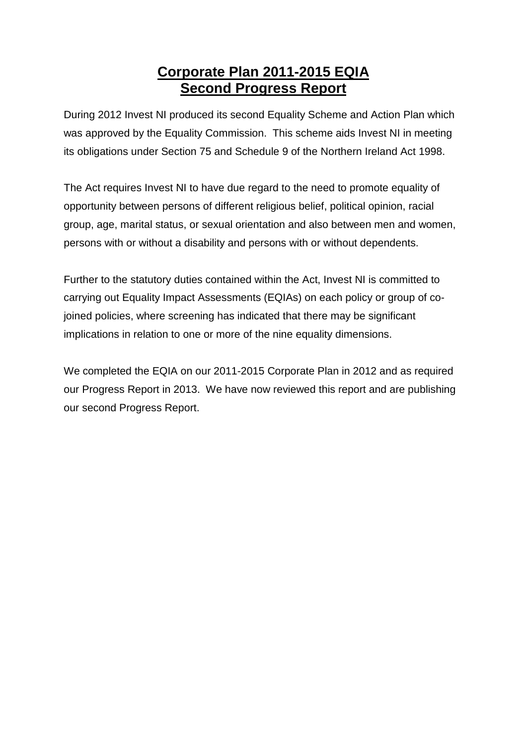## **Corporate Plan 2011-2015 EQIA Second Progress Report**

During 2012 Invest NI produced its second Equality Scheme and Action Plan which was approved by the Equality Commission. This scheme aids Invest NI in meeting its obligations under Section 75 and Schedule 9 of the Northern Ireland Act 1998.

The Act requires Invest NI to have due regard to the need to promote equality of opportunity between persons of different religious belief, political opinion, racial group, age, marital status, or sexual orientation and also between men and women, persons with or without a disability and persons with or without dependents.

Further to the statutory duties contained within the Act, Invest NI is committed to carrying out Equality Impact Assessments (EQIAs) on each policy or group of cojoined policies, where screening has indicated that there may be significant implications in relation to one or more of the nine equality dimensions.

We completed the EQIA on our 2011-2015 Corporate Plan in 2012 and as required our Progress Report in 2013. We have now reviewed this report and are publishing our second Progress Report.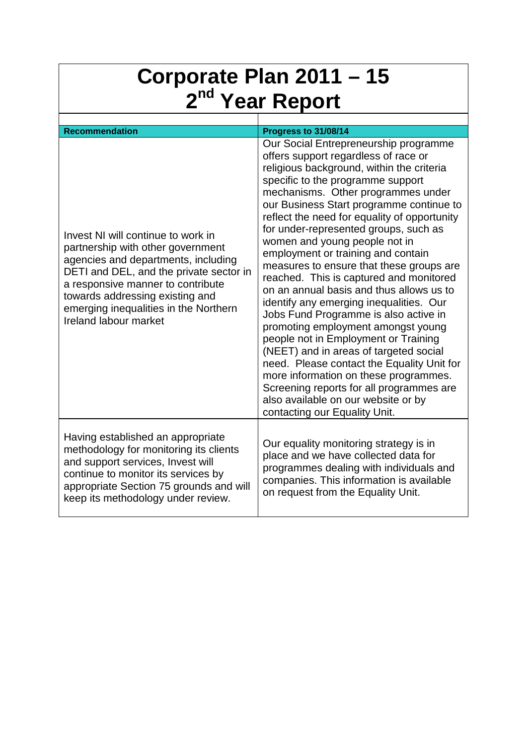## **Corporate Plan 2011 – 15 2nd Year Report**

| <b>Recommendation</b>                                                                                                                                                                                                                                                                                      | Progress to 31/08/14                                                                                                                                                                                                                                                                                                                                                                                                                                                                                                                                                                                                                                                                                                                                                                                                                                                                                                                                                        |
|------------------------------------------------------------------------------------------------------------------------------------------------------------------------------------------------------------------------------------------------------------------------------------------------------------|-----------------------------------------------------------------------------------------------------------------------------------------------------------------------------------------------------------------------------------------------------------------------------------------------------------------------------------------------------------------------------------------------------------------------------------------------------------------------------------------------------------------------------------------------------------------------------------------------------------------------------------------------------------------------------------------------------------------------------------------------------------------------------------------------------------------------------------------------------------------------------------------------------------------------------------------------------------------------------|
| Invest NI will continue to work in<br>partnership with other government<br>agencies and departments, including<br>DETI and DEL, and the private sector in<br>a responsive manner to contribute<br>towards addressing existing and<br>emerging inequalities in the Northern<br><b>Ireland labour market</b> | Our Social Entrepreneurship programme<br>offers support regardless of race or<br>religious background, within the criteria<br>specific to the programme support<br>mechanisms. Other programmes under<br>our Business Start programme continue to<br>reflect the need for equality of opportunity<br>for under-represented groups, such as<br>women and young people not in<br>employment or training and contain<br>measures to ensure that these groups are<br>reached. This is captured and monitored<br>on an annual basis and thus allows us to<br>identify any emerging inequalities. Our<br>Jobs Fund Programme is also active in<br>promoting employment amongst young<br>people not in Employment or Training<br>(NEET) and in areas of targeted social<br>need. Please contact the Equality Unit for<br>more information on these programmes.<br>Screening reports for all programmes are<br>also available on our website or by<br>contacting our Equality Unit. |
| Having established an appropriate<br>methodology for monitoring its clients<br>and support services, Invest will<br>continue to monitor its services by<br>appropriate Section 75 grounds and will<br>keep its methodology under review.                                                                   | Our equality monitoring strategy is in<br>place and we have collected data for<br>programmes dealing with individuals and<br>companies. This information is available<br>on request from the Equality Unit.                                                                                                                                                                                                                                                                                                                                                                                                                                                                                                                                                                                                                                                                                                                                                                 |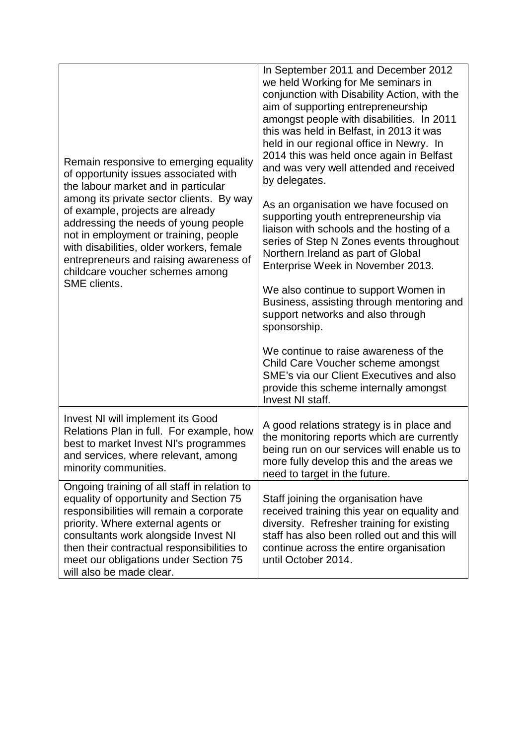| Remain responsive to emerging equality<br>of opportunity issues associated with<br>the labour market and in particular<br>among its private sector clients. By way<br>of example, projects are already<br>addressing the needs of young people<br>not in employment or training, people<br>with disabilities, older workers, female<br>entrepreneurs and raising awareness of<br>childcare voucher schemes among<br>SME clients. | In September 2011 and December 2012<br>we held Working for Me seminars in<br>conjunction with Disability Action, with the<br>aim of supporting entrepreneurship<br>amongst people with disabilities. In 2011<br>this was held in Belfast, in 2013 it was<br>held in our regional office in Newry. In<br>2014 this was held once again in Belfast<br>and was very well attended and received<br>by delegates.                                                                                                                                                     |
|----------------------------------------------------------------------------------------------------------------------------------------------------------------------------------------------------------------------------------------------------------------------------------------------------------------------------------------------------------------------------------------------------------------------------------|------------------------------------------------------------------------------------------------------------------------------------------------------------------------------------------------------------------------------------------------------------------------------------------------------------------------------------------------------------------------------------------------------------------------------------------------------------------------------------------------------------------------------------------------------------------|
|                                                                                                                                                                                                                                                                                                                                                                                                                                  | As an organisation we have focused on<br>supporting youth entrepreneurship via<br>liaison with schools and the hosting of a<br>series of Step N Zones events throughout<br>Northern Ireland as part of Global<br>Enterprise Week in November 2013.<br>We also continue to support Women in<br>Business, assisting through mentoring and<br>support networks and also through<br>sponsorship.<br>We continue to raise awareness of the<br>Child Care Voucher scheme amongst<br>SME's via our Client Executives and also<br>provide this scheme internally amongst |
|                                                                                                                                                                                                                                                                                                                                                                                                                                  | Invest NI staff.                                                                                                                                                                                                                                                                                                                                                                                                                                                                                                                                                 |
| Invest NI will implement its Good<br>Relations Plan in full. For example, how<br>best to market Invest NI's programmes<br>and services, where relevant, among<br>minority communities.                                                                                                                                                                                                                                           | A good relations strategy is in place and<br>the monitoring reports which are currently<br>being run on our services will enable us to<br>more fully develop this and the areas we<br>need to target in the future.                                                                                                                                                                                                                                                                                                                                              |
| Ongoing training of all staff in relation to<br>equality of opportunity and Section 75<br>responsibilities will remain a corporate<br>priority. Where external agents or<br>consultants work alongside Invest NI<br>then their contractual responsibilities to<br>meet our obligations under Section 75<br>will also be made clear.                                                                                              | Staff joining the organisation have<br>received training this year on equality and<br>diversity. Refresher training for existing<br>staff has also been rolled out and this will<br>continue across the entire organisation<br>until October 2014.                                                                                                                                                                                                                                                                                                               |